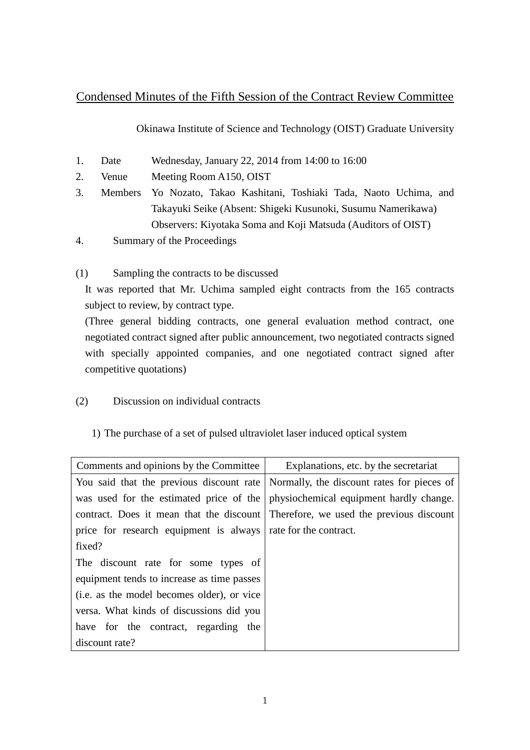## Condensed Minutes of the Fifth Session of the Contract Review Committee

Okinawa Institute of Science and Technology (OIST) Graduate University

- 1. Date Wednesday, January 22, 2014 from 14:00 to 16:00
- 2. Venue Meeting Room A150, OIST
- 3. Members Yo Nozato, Takao Kashitani, Toshiaki Tada, Naoto Uchima, and Takayuki Seike (Absent: Shigeki Kusunoki, Susumu Namerikawa) Observers: Kiyotaka Soma and Koji Matsuda (Auditors of OIST)
- 4. Summary of the Proceedings
- (1) Sampling the contracts to be discussed

It was reported that Mr. Uchima sampled eight contracts from the 165 contracts subject to review, by contract type.

(Three general bidding contracts, one general evaluation method contract, one negotiated contract signed after public announcement, two negotiated contracts signed with specially appointed companies, and one negotiated contract signed after competitive quotations)

- (2) Discussion on individual contracts
	- 1) The purchase of a set of pulsed ultraviolet laser induced optical system

| Comments and opinions by the Committee                          | Explanations, etc. by the secretariat                                               |
|-----------------------------------------------------------------|-------------------------------------------------------------------------------------|
|                                                                 | You said that the previous discount rate Normally, the discount rates for pieces of |
|                                                                 | was used for the estimated price of the physiochemical equipment hardly change.     |
|                                                                 | contract. Does it mean that the discount Therefore, we used the previous discount   |
| price for research equipment is always   rate for the contract. |                                                                                     |
| fixed?                                                          |                                                                                     |
| The discount rate for some types of                             |                                                                                     |
| equipment tends to increase as time passes                      |                                                                                     |
| (i.e. as the model becomes older), or vice                      |                                                                                     |
| versa. What kinds of discussions did you                        |                                                                                     |
| have for the contract, regarding the                            |                                                                                     |
| discount rate?                                                  |                                                                                     |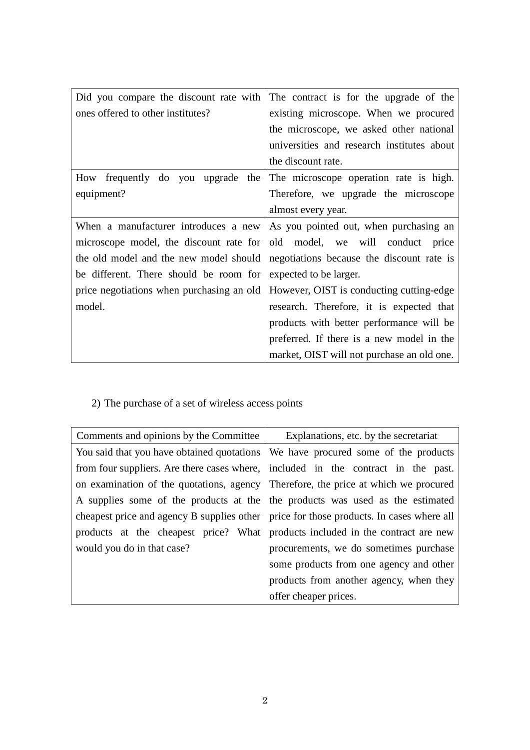| Did you compare the discount rate with    | The contract is for the upgrade of the     |
|-------------------------------------------|--------------------------------------------|
| ones offered to other institutes?         | existing microscope. When we procured      |
|                                           | the microscope, we asked other national    |
|                                           | universities and research institutes about |
|                                           | the discount rate.                         |
| How frequently do you upgrade the         | The microscope operation rate is high.     |
| equipment?                                | Therefore, we upgrade the microscope       |
|                                           | almost every year.                         |
| When a manufacturer introduces a new      | As you pointed out, when purchasing an     |
| microscope model, the discount rate for   | old model, we will conduct<br>price        |
| the old model and the new model should    | negotiations because the discount rate is  |
| be different. There should be room for    | expected to be larger.                     |
| price negotiations when purchasing an old | However, OIST is conducting cutting-edge   |
| model.                                    | research. Therefore, it is expected that   |
|                                           | products with better performance will be   |
|                                           | preferred. If there is a new model in the  |
|                                           | market, OIST will not purchase an old one. |

2) The purchase of a set of wireless access points

| Comments and opinions by the Committee | Explanations, etc. by the secretariat                                                     |
|----------------------------------------|-------------------------------------------------------------------------------------------|
|                                        | You said that you have obtained quotations We have procured some of the products          |
|                                        | from four suppliers. Are there cases where, included in the contract in the past.         |
|                                        | on examination of the quotations, agency Therefore, the price at which we procured        |
|                                        | A supplies some of the products at the the products was used as the estimated             |
|                                        | cheapest price and agency B supplies other   price for those products. In cases where all |
|                                        | products at the cheapest price? What products included in the contract are new            |
| would you do in that case?             | procurements, we do sometimes purchase                                                    |
|                                        | some products from one agency and other                                                   |
|                                        | products from another agency, when they                                                   |
|                                        | offer cheaper prices.                                                                     |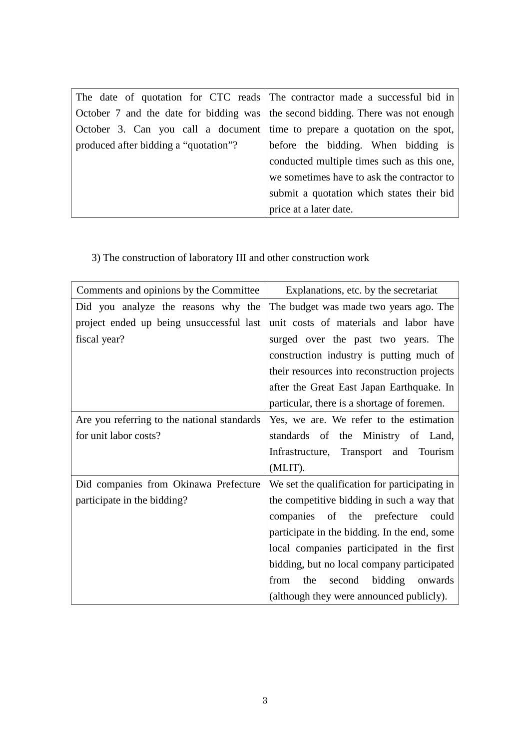|                                       | The date of quotation for CTC reads The contractor made a successful bid in     |
|---------------------------------------|---------------------------------------------------------------------------------|
|                                       | October 7 and the date for bidding was the second bidding. There was not enough |
|                                       | October 3. Can you call a document time to prepare a quotation on the spot,     |
| produced after bidding a "quotation"? | before the bidding. When bidding is                                             |
|                                       | conducted multiple times such as this one,                                      |
|                                       | we sometimes have to ask the contractor to                                      |
|                                       | submit a quotation which states their bid                                       |
|                                       | price at a later date.                                                          |

3) The construction of laboratory III and other construction work

| Comments and opinions by the Committee      | Explanations, etc. by the secretariat         |
|---------------------------------------------|-----------------------------------------------|
| Did you analyze the reasons why the         | The budget was made two years ago. The        |
| project ended up being unsuccessful last    | unit costs of materials and labor have        |
| fiscal year?                                | surged over the past two years. The           |
|                                             | construction industry is putting much of      |
|                                             | their resources into reconstruction projects  |
|                                             | after the Great East Japan Earthquake. In     |
|                                             | particular, there is a shortage of foremen.   |
| Are you referring to the national standards | Yes, we are. We refer to the estimation       |
| for unit labor costs?                       | standards of the Ministry of Land,            |
|                                             | Infrastructure, Transport and Tourism         |
|                                             | (MLIT).                                       |
| Did companies from Okinawa Prefecture       | We set the qualification for participating in |
| participate in the bidding?                 | the competitive bidding in such a way that    |
|                                             | companies of the prefecture could             |
|                                             | participate in the bidding. In the end, some  |
|                                             | local companies participated in the first     |
|                                             | bidding, but no local company participated    |
|                                             | the<br>bidding onwards<br>from<br>second      |
|                                             | (although they were announced publicly).      |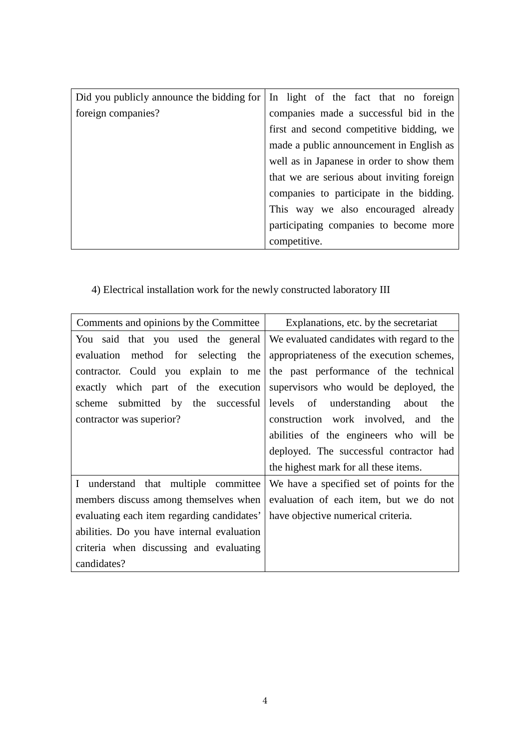|                    | Did you publicly announce the bidding for   In light of the fact that no foreign |
|--------------------|----------------------------------------------------------------------------------|
| foreign companies? | companies made a successful bid in the                                           |
|                    | first and second competitive bidding, we                                         |
|                    | made a public announcement in English as                                         |
|                    | well as in Japanese in order to show them                                        |
|                    | that we are serious about inviting foreign                                       |
|                    | companies to participate in the bidding.                                         |
|                    | This way we also encouraged already                                              |
|                    | participating companies to become more                                           |
|                    | competitive.                                                                     |

## 4) Electrical installation work for the newly constructed laboratory III

| Comments and opinions by the Committee     | Explanations, etc. by the secretariat                                           |
|--------------------------------------------|---------------------------------------------------------------------------------|
|                                            | You said that you used the general   We evaluated candidates with regard to the |
| method for selecting the<br>evaluation     | appropriateness of the execution schemes,                                       |
| contractor. Could you explain to me        | the past performance of the technical                                           |
|                                            | exactly which part of the execution supervisors who would be deployed, the      |
|                                            | scheme submitted by the successful levels of understanding about the            |
| contractor was superior?                   | construction work involved, and the                                             |
|                                            | abilities of the engineers who will be                                          |
|                                            | deployed. The successful contractor had                                         |
|                                            | the highest mark for all these items.                                           |
| I understand that multiple committee       | We have a specified set of points for the                                       |
| members discuss among themselves when      | evaluation of each item, but we do not                                          |
| evaluating each item regarding candidates' | have objective numerical criteria.                                              |
| abilities. Do you have internal evaluation |                                                                                 |
| criteria when discussing and evaluating    |                                                                                 |
| candidates?                                |                                                                                 |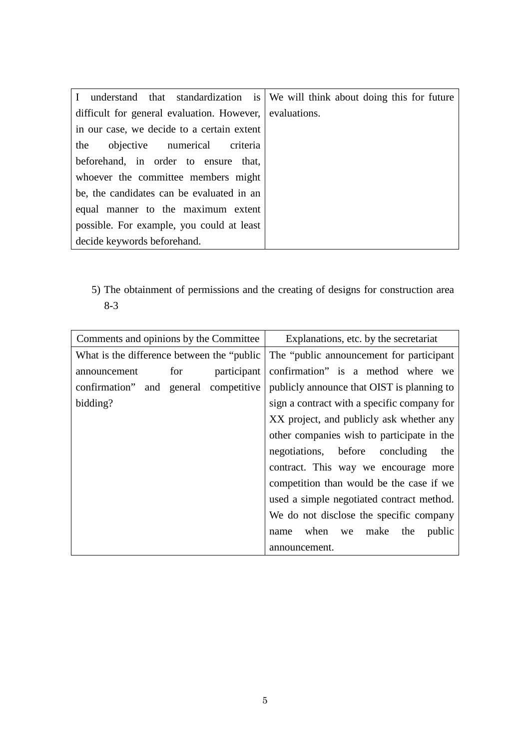| I understand that standardization is We will think about doing this for future |              |
|--------------------------------------------------------------------------------|--------------|
| difficult for general evaluation. However,                                     | evaluations. |
| in our case, we decide to a certain extent                                     |              |
| the<br>objective numerical criteria                                            |              |
| beforehand, in order to ensure that,                                           |              |
| whoever the committee members might                                            |              |
| be, the candidates can be evaluated in an                                      |              |
| equal manner to the maximum extent                                             |              |
| possible. For example, you could at least                                      |              |
| decide keywords beforehand.                                                    |              |

5) The obtainment of permissions and the creating of designs for construction area 8-3

| Comments and opinions by the Committee      |     |             | Explanations, etc. by the secretariat       |
|---------------------------------------------|-----|-------------|---------------------------------------------|
| What is the difference between the "public" |     |             | The "public announcement for participant"   |
| announcement                                | for | participant | confirmation" is a method where we          |
| confirmation" and general competitive       |     |             | publicly announce that OIST is planning to  |
| bidding?                                    |     |             | sign a contract with a specific company for |
|                                             |     |             | XX project, and publicly ask whether any    |
|                                             |     |             | other companies wish to participate in the  |
|                                             |     |             | negotiations, before concluding<br>the      |
|                                             |     |             | contract. This way we encourage more        |
|                                             |     |             | competition than would be the case if we    |
|                                             |     |             | used a simple negotiated contract method.   |
|                                             |     |             | We do not disclose the specific company     |
|                                             |     |             | when we make the<br>public<br>name          |
|                                             |     |             | announcement.                               |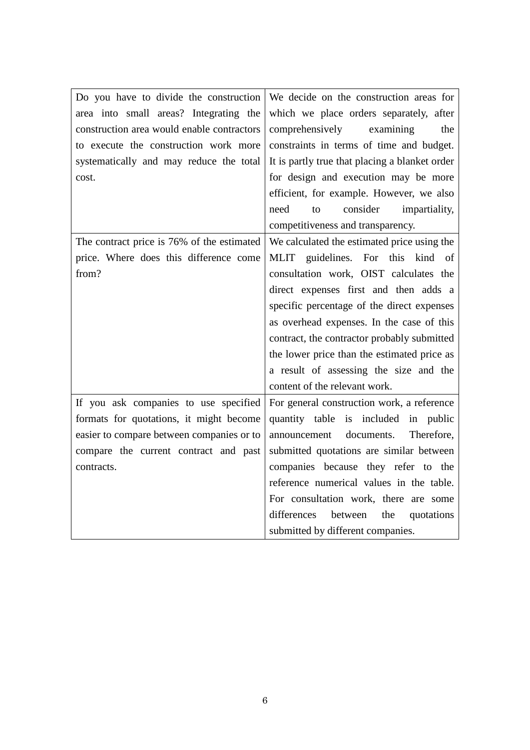| Do you have to divide the construction     | We decide on the construction areas for        |
|--------------------------------------------|------------------------------------------------|
| area into small areas? Integrating the     | which we place orders separately, after        |
| construction area would enable contractors | comprehensively<br>examining<br>the            |
| to execute the construction work more      | constraints in terms of time and budget.       |
| systematically and may reduce the total    | It is partly true that placing a blanket order |
| cost.                                      | for design and execution may be more           |
|                                            | efficient, for example. However, we also       |
|                                            | consider<br>impartiality,<br>need<br>to        |
|                                            | competitiveness and transparency.              |
| The contract price is 76% of the estimated | We calculated the estimated price using the    |
| price. Where does this difference come     | MLIT guidelines. For this kind of              |
| from?                                      | consultation work, OIST calculates the         |
|                                            | direct expenses first and then adds a          |
|                                            | specific percentage of the direct expenses     |
|                                            | as overhead expenses. In the case of this      |
|                                            | contract, the contractor probably submitted    |
|                                            | the lower price than the estimated price as    |
|                                            | a result of assessing the size and the         |
|                                            | content of the relevant work.                  |
| If you ask companies to use specified      | For general construction work, a reference     |
| formats for quotations, it might become    | quantity table is included in public           |
| easier to compare between companies or to  | documents.<br>Therefore,<br>announcement       |
| compare the current contract and past      | submitted quotations are similar between       |
| contracts.                                 | companies because they refer to the            |
|                                            | reference numerical values in the table.       |
|                                            | For consultation work, there are some          |
|                                            | differences<br>between<br>quotations<br>the    |
|                                            | submitted by different companies.              |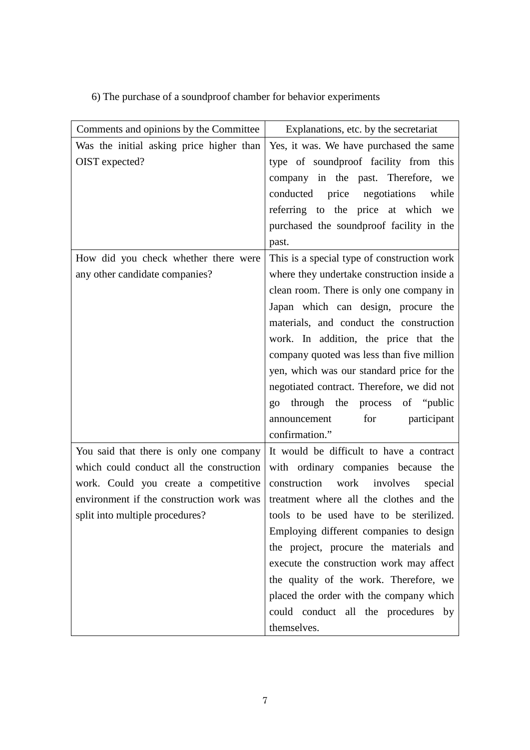6) The purchase of a soundproof chamber for behavior experiments

| Comments and opinions by the Committee   | Explanations, etc. by the secretariat       |
|------------------------------------------|---------------------------------------------|
| Was the initial asking price higher than | Yes, it was. We have purchased the same     |
| OIST expected?                           | type of soundproof facility from this       |
|                                          | company in the past. Therefore, we          |
|                                          | conducted price negotiations while          |
|                                          | referring to the price at which we          |
|                                          | purchased the soundproof facility in the    |
|                                          | past.                                       |
| How did you check whether there were     | This is a special type of construction work |
| any other candidate companies?           | where they undertake construction inside a  |
|                                          | clean room. There is only one company in    |
|                                          | Japan which can design, procure the         |
|                                          | materials, and conduct the construction     |
|                                          | work. In addition, the price that the       |
|                                          | company quoted was less than five million   |
|                                          | yen, which was our standard price for the   |
|                                          | negotiated contract. Therefore, we did not  |
|                                          | through the process of "public"<br>QQ       |
|                                          | for<br>announcement<br>participant          |
|                                          | confirmation."                              |
| You said that there is only one company  | It would be difficult to have a contract    |
| which could conduct all the construction | with ordinary companies because the         |
| work. Could you create a competitive     | construction<br>work involves<br>special    |
| environment if the construction work was | treatment where all the clothes and the     |
| split into multiple procedures?          | tools to be used have to be sterilized.     |
|                                          | Employing different companies to design     |
|                                          | the project, procure the materials and      |
|                                          | execute the construction work may affect    |
|                                          | the quality of the work. Therefore, we      |
|                                          | placed the order with the company which     |
|                                          | could conduct all the procedures by         |
|                                          | themselves.                                 |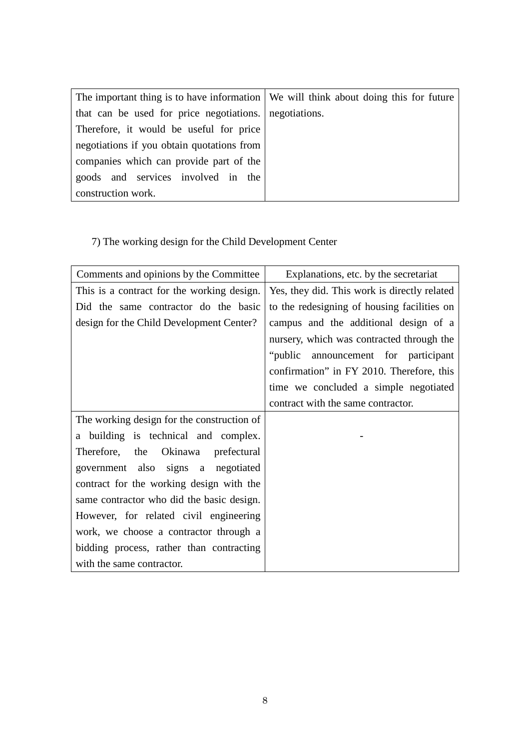| The important thing is to have information We will think about doing this for future |  |
|--------------------------------------------------------------------------------------|--|
| that can be used for price negotiations. negotiations.                               |  |
| Therefore, it would be useful for price                                              |  |
| negotiations if you obtain quotations from                                           |  |
| companies which can provide part of the                                              |  |
| goods and services involved in the                                                   |  |
| construction work.                                                                   |  |

## 7) The working design for the Child Development Center

| Comments and opinions by the Committee      | Explanations, etc. by the secretariat        |
|---------------------------------------------|----------------------------------------------|
| This is a contract for the working design.  | Yes, they did. This work is directly related |
| Did the same contractor do the basic        | to the redesigning of housing facilities on  |
| design for the Child Development Center?    | campus and the additional design of a        |
|                                             | nursery, which was contracted through the    |
|                                             | "public announcement for participant         |
|                                             | confirmation" in FY 2010. Therefore, this    |
|                                             | time we concluded a simple negotiated        |
|                                             | contract with the same contractor.           |
| The working design for the construction of  |                                              |
| a building is technical and complex.        |                                              |
| Okinawa<br>Therefore,<br>the<br>prefectural |                                              |
| government also signs a negotiated          |                                              |
| contract for the working design with the    |                                              |
| same contractor who did the basic design.   |                                              |
| However, for related civil engineering      |                                              |
| work, we choose a contractor through a      |                                              |
| bidding process, rather than contracting    |                                              |
| with the same contractor.                   |                                              |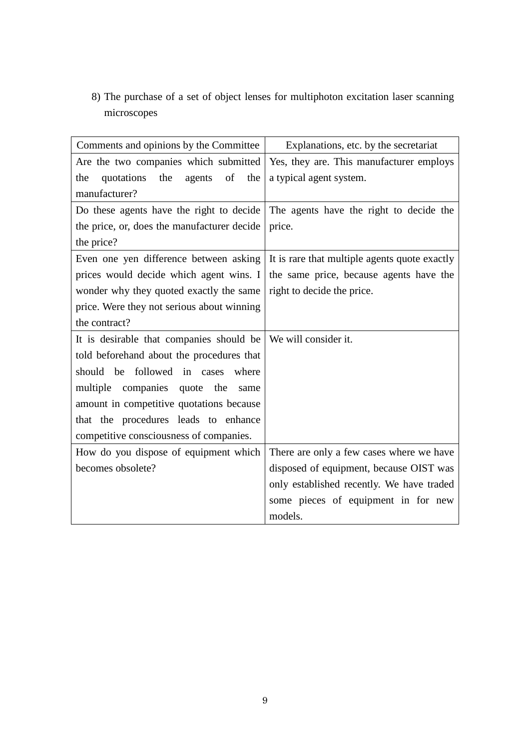8) The purchase of a set of object lenses for multiphoton excitation laser scanning microscopes

| Comments and opinions by the Committee       | Explanations, etc. by the secretariat         |
|----------------------------------------------|-----------------------------------------------|
| Are the two companies which submitted        | Yes, they are. This manufacturer employs      |
| the<br>agents of<br>quotations<br>the<br>the | a typical agent system.                       |
| manufacturer?                                |                                               |
| Do these agents have the right to decide     | The agents have the right to decide the       |
| the price, or, does the manufacturer decide  | price.                                        |
| the price?                                   |                                               |
| Even one yen difference between asking       | It is rare that multiple agents quote exactly |
| prices would decide which agent wins. I      | the same price, because agents have the       |
| wonder why they quoted exactly the same      | right to decide the price.                    |
| price. Were they not serious about winning   |                                               |
| the contract?                                |                                               |
| It is desirable that companies should be     | We will consider it.                          |
| told beforehand about the procedures that    |                                               |
| should be followed in cases where            |                                               |
| multiple companies quote the<br>same         |                                               |
| amount in competitive quotations because     |                                               |
| that the procedures leads to enhance         |                                               |
| competitive consciousness of companies.      |                                               |
| How do you dispose of equipment which        | There are only a few cases where we have      |
| becomes obsolete?                            | disposed of equipment, because OIST was       |
|                                              | only established recently. We have traded     |
|                                              | some pieces of equipment in for new           |
|                                              | models.                                       |